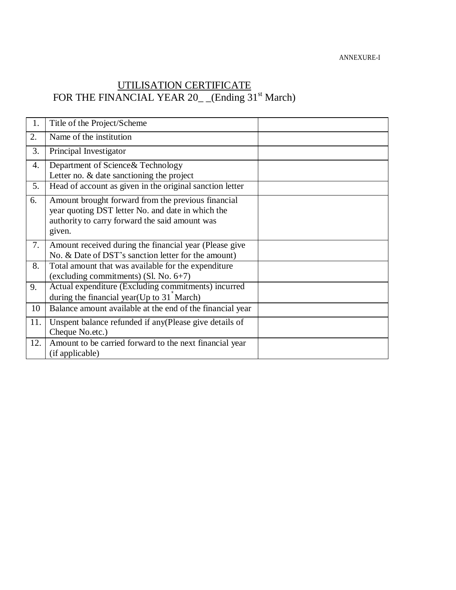ANNEXURE-I

## UTILISATION CERTIFICATE FOR THE FINANCIAL YEAR 20<sub>\_</sub> (Ending 31<sup>st</sup> March)

| 1.  | Title of the Project/Scheme                                                                                                                                         |  |
|-----|---------------------------------------------------------------------------------------------------------------------------------------------------------------------|--|
| 2.  | Name of the institution                                                                                                                                             |  |
| 3.  | Principal Investigator                                                                                                                                              |  |
| 4.  | Department of Science & Technology<br>Letter no. $&$ date sanctioning the project                                                                                   |  |
| 5.  | Head of account as given in the original sanction letter                                                                                                            |  |
| 6.  | Amount brought forward from the previous financial<br>year quoting DST letter No. and date in which the<br>authority to carry forward the said amount was<br>given. |  |
| 7.  | Amount received during the financial year (Please give<br>No. & Date of DST's sanction letter for the amount)                                                       |  |
| 8.  | Total amount that was available for the expenditure<br>(excluding commitments) (Sl. No. 6+7)                                                                        |  |
| 9.  | Actual expenditure (Excluding commitments) incurred<br>during the financial year (Up to $31$ <sup><math>\text{'March}</math></sup> )                                |  |
| 10  | Balance amount available at the end of the financial year                                                                                                           |  |
| 11. | Unspent balance refunded if any (Please give details of<br>Cheque No.etc.)                                                                                          |  |
| 12. | Amount to be carried forward to the next financial year<br>(if applicable)                                                                                          |  |